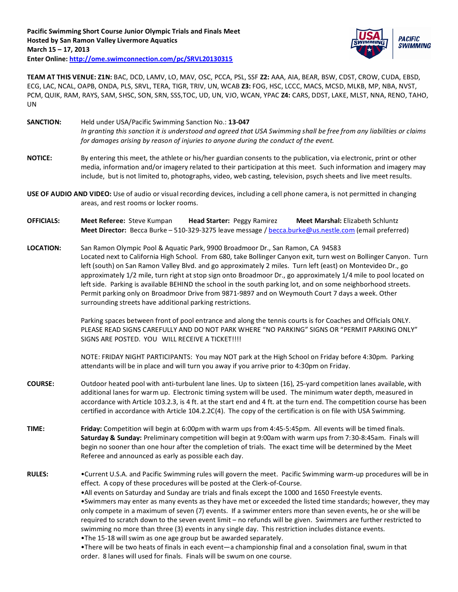

**TEAM AT THIS VENUE: Z1N:** BAC, DCD, LAMV, LO, MAV, OSC, PCCA, PSL, SSF **Z2:** AAA, AIA, BEAR, BSW, CDST, CROW, CUDA, EBSD, ECG, LAC, NCAL, OAPB, ONDA, PLS, SRVL, TERA, TIGR, TRIV, UN, WCAB **Z3:** FOG, HSC, LCCC, MACS, MCSD, MLKB, MP, NBA, NVST, PCM, QUIK, RAM, RAYS, SAM, SHSC, SON, SRN, SSS,TOC, UD, UN, VJO, WCAN, YPAC **Z4:** CARS, DDST, LAKE, MLST, NNA, RENO, TAHO, UN

- **SANCTION:** Held under USA/Pacific Swimming Sanction No.: **13-047** *In granting this sanction it is understood and agreed that USA Swimming shall be free from any liabilities or claims for damages arising by reason of injuries to anyone during the conduct of the event.*
- **NOTICE:** By entering this meet, the athlete or his/her guardian consents to the publication, via electronic, print or other media, information and/or imagery related to their participation at this meet. Such information and imagery may include, but is not limited to, photographs, video, web casting, television, psych sheets and live meet results.
- **USE OF AUDIO AND VIDEO:** Use of audio or visual recording devices, including a cell phone camera, is not permitted in changing areas, and rest rooms or locker rooms.
- **OFFICIALS: Meet Referee:** Steve Kumpan **Head Starter:** Peggy Ramirez **Meet Marshal:** Elizabeth Schluntz **Meet Director:** Becca Burke – 510-329-3275 leave message [/ becca.burke@us.nestle.com](mailto:becca.burke@us.nestle.com) (email preferred)
- **LOCATION:** San Ramon Olympic Pool & Aquatic Park, 9900 Broadmoor Dr., San Ramon, CA 94583 Located next to California High School. From 680, take Bollinger Canyon exit, turn west on Bollinger Canyon. Turn left (south) on San Ramon Valley Blvd. and go approximately 2 miles. Turn left (east) on Montevideo Dr., go approximately 1/2 mile, turn right at stop sign onto Broadmoor Dr., go approximately 1/4 mile to pool located on left side. Parking is available BEHIND the school in the south parking lot, and on some neighborhood streets. Permit parking only on Broadmoor Drive from 9871-9897 and on Weymouth Court 7 days a week. Other surrounding streets have additional parking restrictions.

Parking spaces between front of pool entrance and along the tennis courts is for Coaches and Officials ONLY. PLEASE READ SIGNS CAREFULLY AND DO NOT PARK WHERE "NO PARKING" SIGNS OR "PERMIT PARKING ONLY" SIGNS ARE POSTED. YOU WILL RECEIVE A TICKET!!!!

NOTE: FRIDAY NIGHT PARTICIPANTS: You may NOT park at the High School on Friday before 4:30pm. Parking attendants will be in place and will turn you away if you arrive prior to 4:30pm on Friday.

- **COURSE:** Outdoor heated pool with anti-turbulent lane lines. Up to sixteen (16), 25-yard competition lanes available, with additional lanes for warm up. Electronic timing system will be used. The minimum water depth, measured in accordance with Article 103.2.3, is 4 ft. at the start end and 4 ft. at the turn end. The competition course has been certified in accordance with Article 104.2.2C(4). The copy of the certification is on file with USA Swimming.
- **TIME: Friday:** Competition will begin at 6:00pm with warm ups from 4:45-5:45pm. All events will be timed finals. **Saturday & Sunday:** Preliminary competition will begin at 9:00am with warm ups from 7:30-8:45am. Finals will begin no sooner than one hour after the completion of trials. The exact time will be determined by the Meet Referee and announced as early as possible each day.
- **RULES:** •Current U.S.A. and Pacific Swimming rules will govern the meet. Pacific Swimming warm-up procedures will be in effect. A copy of these procedures will be posted at the Clerk-of-Course.

•All events on Saturday and Sunday are trials and finals except the 1000 and 1650 Freestyle events. •Swimmers may enter as many events as they have met or exceeded the listed time standards; however, they may only compete in a maximum of seven (7) events. If a swimmer enters more than seven events, he or she will be required to scratch down to the seven event limit – no refunds will be given. Swimmers are further restricted to swimming no more than three (3) events in any single day. This restriction includes distance events.

•The 15-18 will swim as one age group but be awarded separately.

•There will be two heats of finals in each event—a championship final and a consolation final, swum in that order. 8 lanes will used for finals. Finals will be swum on one course.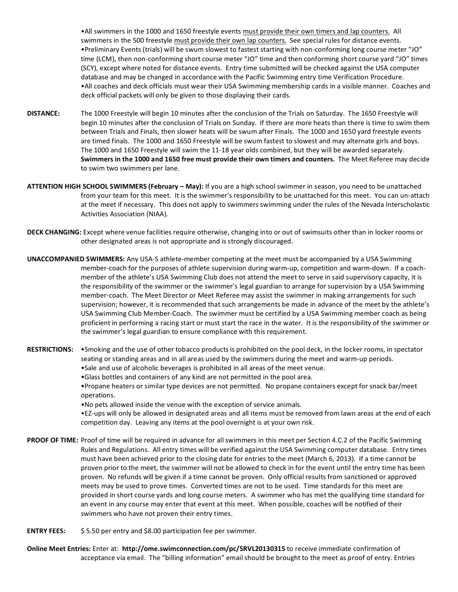•All swimmers in the 1000 and 1650 freestyle events must provide their own timers and lap counters. All swimmers in the 500 freestyle must provide their own lap counters. See special rules for distance events. •Preliminary Events (trials) will be swum slowest to fastest starting with non-conforming long course meter "JO" time (LCM), then non-conforming short course meter "JO" time and then conforming short course yard "JO" times (SCY), except where noted for distance events. Entry time submitted will be checked against the USA computer database and may be changed in accordance with the Pacific Swimming entry time Verification Procedure. •All coaches and deck officials must wear their USA Swimming membership cards in a visible manner. Coaches and deck official packets will only be given to those displaying their cards.

- **DISTANCE:** The 1000 Freestyle will begin 10 minutes after the conclusion of the Trials on Saturday. The 1650 Freestyle will begin 10 minutes after the conclusion of Trials on Sunday. If there are more heats than there is time to swim them between Trials and Finals, then slower heats will be swum after Finals. The 1000 and 1650 yard freestyle events are timed finals. The 1000 and 1650 Freestyle will be swum fastest to slowest and may alternate girls and boys. The 1000 and 1650 Freestyle will swim the 11-18 year olds combined, but they will be awarded separately. **Swimmers in the 1000 and 1650 free must provide their own timers and counters.** The Meet Referee may decide to swim two swimmers per lane.
- **ATTENTION HIGH SCHOOL SWIMMERS (February – May):** If you are a high school swimmer in season, you need to be unattached from your team for this meet. It is the swimmer's responsibility to be unattached for this meet. You can un-attach at the meet if necessary. This does not apply to swimmers swimming under the rules of the Nevada Interscholastic Activities Association (NIAA).
- **DECK CHANGING:** Except where venue facilities require otherwise, changing into or out of swimsuits other than in locker rooms or other designated areas is not appropriate and is strongly discouraged.
- **UNACCOMPANIED SWIMMERS:** Any USA-S athlete-member competing at the meet must be accompanied by a USA Swimming member-coach for the purposes of athlete supervision during warm-up, competition and warm-down. If a coachmember of the athlete's USA Swimming Club does not attend the meet to serve in said supervisory capacity, it is the responsibility of the swimmer or the swimmer's legal guardian to arrange for supervision by a USA Swimming member-coach. The Meet Director or Meet Referee may assist the swimmer in making arrangements for such supervision; however, it is recommended that such arrangements be made in advance of the meet by the athlete's USA Swimming Club Member-Coach. The swimmer must be certified by a USA Swimming member coach as being proficient in performing a racing start or must start the race in the water. It is the responsibility of the swimmer or the swimmer's legal guardian to ensure compliance with this requirement.
- **RESTRICTIONS:** •Smoking and the use of other tobacco products is prohibited on the pool deck, in the locker rooms, in spectator seating or standing areas and in all areas used by the swimmers during the meet and warm-up periods.
	- •Sale and use of alcoholic beverages is prohibited in all areas of the meet venue. •Glass bottles and containers of any kind are not permitted in the pool area.
	- •Propane heaters or similar type devices are not permitted. No propane containers except for snack bar/meet operations.
	- •No pets allowed inside the venue with the exception of service animals.

•EZ-ups will only be allowed in designated areas and all items must be removed from lawn areas at the end of each competition day. Leaving any items at the pool overnight is at your own risk.

- **PROOF OF TIME:** Proof of time will be required in advance for all swimmers in this meet per Section 4.C.2 of the Pacific Swimming Rules and Regulations. All entry times will be verified against the USA Swimming computer database. Entry times must have been achieved prior to the closing date for entries to the meet (March 6, 2013). If a time cannot be proven prior to the meet, the swimmer will not be allowed to check in for the event until the entry time has been proven. No refunds will be given if a time cannot be proven. Only official results from sanctioned or approved meets may be used to prove times. Converted times are not to be used. Time standards for this meet are provided in short course yards and long course meters. A swimmer who has met the qualifying time standard for an event in any course may enter that event at this meet. When possible, coaches will be notified of their swimmers who have not proven their entry times.
- **ENTRY FEES:** \$ 5.50 per entry and \$8.00 participation fee per swimmer.
- **Online Meet Entries:** Enter at: **http://ome.swimconnection.com/pc/SRVL20130315** to receive immediate confirmation of acceptance via email. The "billing information" email should be brought to the meet as proof of entry. Entries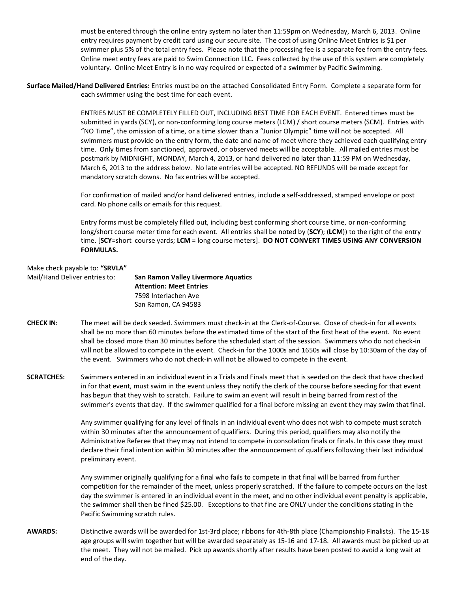must be entered through the online entry system no later than 11:59pm on Wednesday, March 6, 2013. Online entry requires payment by credit card using our secure site. The cost of using Online Meet Entries is \$1 per swimmer plus 5% of the total entry fees. Please note that the processing fee is a separate fee from the entry fees. Online meet entry fees are paid to Swim Connection LLC. Fees collected by the use of this system are completely voluntary. Online Meet Entry is in no way required or expected of a swimmer by Pacific Swimming.

**Surface Mailed/Hand Delivered Entries:** Entries must be on the attached Consolidated Entry Form. Complete a separate form for each swimmer using the best time for each event.

> ENTRIES MUST BE COMPLETELY FILLED OUT, INCLUDING BEST TIME FOR EACH EVENT. Entered times must be submitted in yards (SCY), or non-conforming long course meters (LCM) / short course meters (SCM). Entries with "NO Time", the omission of a time, or a time slower than a "Junior Olympic" time will not be accepted. All swimmers must provide on the entry form, the date and name of meet where they achieved each qualifying entry time. Only times from sanctioned, approved, or observed meets will be acceptable. All mailed entries must be postmark by MIDNIGHT, MONDAY, March 4, 2013, or hand delivered no later than 11:59 PM on Wednesday, March 6, 2013 to the address below. No late entries will be accepted. NO REFUNDS will be made except for mandatory scratch downs. No fax entries will be accepted.

For confirmation of mailed and/or hand delivered entries, include a self-addressed, stamped envelope or post card. No phone calls or emails for this request.

Entry forms must be completely filled out, including best conforming short course time, or non-conforming long/short course meter time for each event. All entries shall be noted by (**SCY**); (**LCM**)) to the right of the entry time. [**SCY**=short course yards; **LCM** = long course meters]. **DO NOT CONVERT TIMES USING ANY CONVERSION FORMULAS.**

# Make check payable to: **"SRVLA"**

| Mail/Hand Deliver entries to: | <b>San Ramon Valley Livermore Aquatics</b><br><b>Attention: Meet Entries</b> |
|-------------------------------|------------------------------------------------------------------------------|
|                               | 7598 Interlachen Ave                                                         |
|                               | San Ramon, CA 94583                                                          |

- **CHECK IN:** The meet will be deck seeded. Swimmers must check-in at the Clerk-of-Course. Close of check-in for all events shall be no more than 60 minutes before the estimated time of the start of the first heat of the event. No event shall be closed more than 30 minutes before the scheduled start of the session. Swimmers who do not check-in will not be allowed to compete in the event. Check-in for the 1000s and 1650s will close by 10:30am of the day of the event. Swimmers who do not check-in will not be allowed to compete in the event.
- **SCRATCHES:** Swimmers entered in an individual event in a Trials and Finals meet that is seeded on the deck that have checked in for that event, must swim in the event unless they notify the clerk of the course before seeding for that event has begun that they wish to scratch. Failure to swim an event will result in being barred from rest of the swimmer's events that day. If the swimmer qualified for a final before missing an event they may swim that final.

Any swimmer qualifying for any level of finals in an individual event who does not wish to compete must scratch within 30 minutes after the announcement of qualifiers. During this period, qualifiers may also notify the Administrative Referee that they may not intend to compete in consolation finals or finals. In this case they must declare their final intention within 30 minutes after the announcement of qualifiers following their last individual preliminary event.

Any swimmer originally qualifying for a final who fails to compete in that final will be barred from further competition for the remainder of the meet, unless properly scratched. If the failure to compete occurs on the last day the swimmer is entered in an individual event in the meet, and no other individual event penalty is applicable, the swimmer shall then be fined \$25.00. Exceptions to that fine are ONLY under the conditions stating in the Pacific Swimming scratch rules.

**AWARDS:** Distinctive awards will be awarded for 1st-3rd place; ribbons for 4th-8th place (Championship Finalists). The 15-18 age groups will swim together but will be awarded separately as 15-16 and 17-18. All awards must be picked up at the meet. They will not be mailed. Pick up awards shortly after results have been posted to avoid a long wait at end of the day.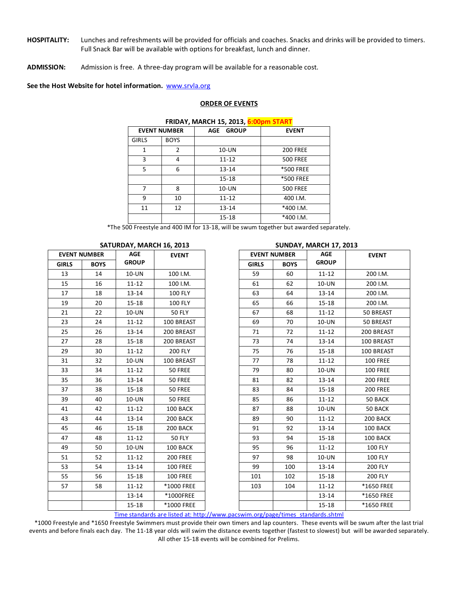- **HOSPITALITY:** Lunches and refreshments will be provided for officials and coaches. Snacks and drinks will be provided to timers. Full Snack Bar will be available with options for breakfast, lunch and dinner.
- **ADMISSION:** Admission is free. A three-day program will be available for a reasonable cost.

**See the Host Website for hotel information.** [www.srvla.org](http://www.srvla.org/)

#### **ORDER OF EVENTS**

| <b>INDAI, MARCH 19, 2019, <mark>0.00pm 91AM</mark></b> |           |                  |  |  |  |  |  |  |  |
|--------------------------------------------------------|-----------|------------------|--|--|--|--|--|--|--|
| <b>EVENT NUMBER</b>                                    | AGE GROUP | <b>EVENT</b>     |  |  |  |  |  |  |  |
| <b>BOYS</b>                                            |           |                  |  |  |  |  |  |  |  |
| 2                                                      | 10-UN     | <b>200 FREE</b>  |  |  |  |  |  |  |  |
| 4                                                      | $11 - 12$ | <b>500 FREE</b>  |  |  |  |  |  |  |  |
| 6                                                      | $13 - 14$ | <b>*500 FREE</b> |  |  |  |  |  |  |  |
|                                                        | $15 - 18$ | <b>*500 FREE</b> |  |  |  |  |  |  |  |
| 8                                                      | 10-UN     | <b>500 FREE</b>  |  |  |  |  |  |  |  |
| 10                                                     | $11 - 12$ | 400 I.M.         |  |  |  |  |  |  |  |
| 12                                                     | $13 - 14$ | *400 I.M.        |  |  |  |  |  |  |  |
|                                                        | $15 - 18$ | *400 I.M.        |  |  |  |  |  |  |  |
|                                                        |           |                  |  |  |  |  |  |  |  |

**FRIDAY, MARCH 15, 2013, 6:00pm START**

\*The 500 Freestyle and 400 IM for 13-18, will be swum together but awarded separately.

| <b>EVENT NUMBER</b> |             | 37101071, 1071011110, 2013<br><b>AGE</b><br><b>EVENT</b> |                                              |
|---------------------|-------------|----------------------------------------------------------|----------------------------------------------|
| <b>GIRLS</b>        | <b>BOYS</b> | <b>GROUP</b>                                             |                                              |
| 13                  | 14          | 10-UN                                                    | 100 I.M.                                     |
| 15                  | 16          | $11 - 12$                                                | 100 I.M.                                     |
| 17                  | 18          | $13 - 14$                                                | 100 FLY                                      |
| 19                  | 20          | $15 - 18$                                                | 100 FLY                                      |
| 21                  | 22          | 10-UN                                                    | <b>50 FLY</b>                                |
| 23                  | 24          | $11 - 12$                                                | 100 BREAST                                   |
| 25                  | 26          | $13 - 14$                                                | 200 BREAST                                   |
| 27                  | 28          | $15 - 18$                                                | 200 BREAST                                   |
| 29                  | 30          | $11 - 12$                                                | <b>200 FLY</b>                               |
| 31                  | 32          | 10-UN                                                    | 100 BREAST                                   |
| 33                  | 34          | $11 - 12$                                                | 50 FREE                                      |
| 35                  | 36          | 13-14                                                    | 50 FREE                                      |
| 37                  | 38          | $15 - 18$                                                | 50 FREE                                      |
| 39                  | 40          | 10-UN                                                    | 50 FREE                                      |
| 41                  | 42          | $11 - 12$                                                | 100 BACK                                     |
| 43                  | 44          | 13-14                                                    | 200 BACK                                     |
| 45                  | 46          | $15 - 18$                                                | 200 BACK                                     |
| 47                  | 48          | $11 - 12$                                                | <b>50 FLY</b>                                |
| 49                  | 50          | 10-UN                                                    | 100 BACK                                     |
| 51                  | 52          | $11 - 12$                                                | <b>200 FREE</b>                              |
| 53                  | 54          | $13 - 14$                                                | <b>100 FREE</b>                              |
| 55                  | 56          | $15 - 18$                                                | <b>100 FREE</b>                              |
| 57                  | 58          | $11 - 12$                                                | *1000 FREE                                   |
|                     |             | $13 - 14$                                                | *1000FREE                                    |
|                     |             | $15 - 18$                                                | *1000 FREE<br>$10.76 - 10.76 - 10.76 = 10.7$ |

### **SATURDAY, MARCH 16, 2013 SUNDAY, MARCH 17, 2013**

Time standards are listed at: http://www.pacswim.org/page/times\_standards.shtml

\*1000 Freestyle and \*1650 Freestyle Swimmers must provide their own timers and lap counters. These events will be swum after the last trial events and before finals each day. The 11-18 year olds will swim the distance events together (fastest to slowest) but will be awarded separately. All other 15-18 events will be combined for Prelims.